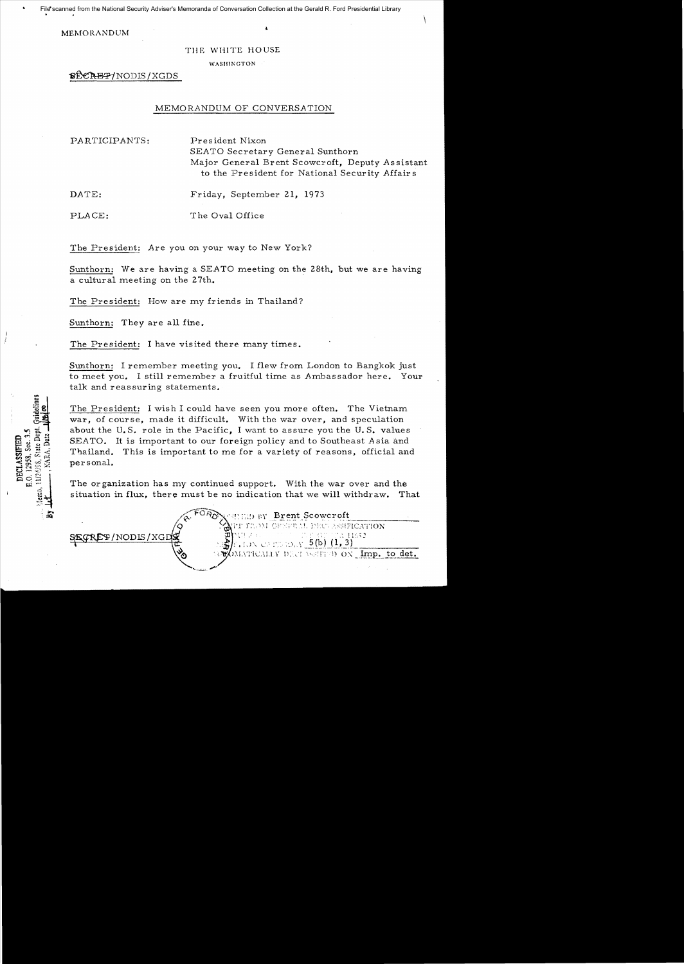MEMORANDUM

TIlE WHITE HOUSE

WASIII:\GTON

~NODIS/XGDS

### MEMORANDUM OF CONVERSATION

PARTICIPANTS: President Nixon SEATO Secretary General Sunthorn Major General Brent Scowcroft, Deputy Assistant to the President for National Security Affairs

DATE: Friday, September 21, 1973

PLACE: The Oval Office

The President: Are you on your way to New York?

Sunthorn: We are having a *SEATO* meeting on the 28th, but we are having a cultural meeting on the 27th.

The President: How are my friends in Thailand?

Sunthorn: They are all fine.

The President: I have visited there many times.

Sunthorn: I remember meeting you. I flew from London to Bangkok just to meet you. I still remember a fruitful time as Ambassador here. Your talk and reassuring statements.

The President: I wish I could have seen you more often. The Vietnam war, of course, made it difficult. With the war over, and speculation about the U.S. role in the Pacific, I want to assure you the U.S. values SEATO. It is important to our foreign policy and to Southeast Asia and Tbailand. This is important to me for a variety of reasons, official and personal.

The or ganization has my continued support. With the war over and the situation in flux, there must be no indication that we will withdraw. That

Brent Scowcroft<br>WOM GESTEM DEC ASSIFICATION

 $\frac{1}{2}$ /NODIS/XGD $\frac{1}{2}$ <br> $\frac{1}{2}$ <br> $\frac{1}{2}$ <br> $\frac{1}{2}$ <br> $\frac{1}{2}$ <br> $\frac{1}{2}$ <br> $\frac{1}{2}$ <br> $\frac{1}{2}$ <br> $\frac{1}{2}$ <br> $\frac{1}{2}$ <br> $\frac{1}{2}$ <br> $\frac{1}{2}$ <br> $\frac{1}{2}$ <br> $\frac{1}{2}$ <br> $\frac{1}{2}$ <br> $\frac{1}{2}$ <br> $\frac{1}{2}$ <br> $\frac{1}{2}$ 

Sec. 3. State Den DECLASSIFIED<br>E.O. 12958, Sec. 3.

OMATICALLY DECEASSIFYD ON  $\emph{\textbf{Imp. to det.}}$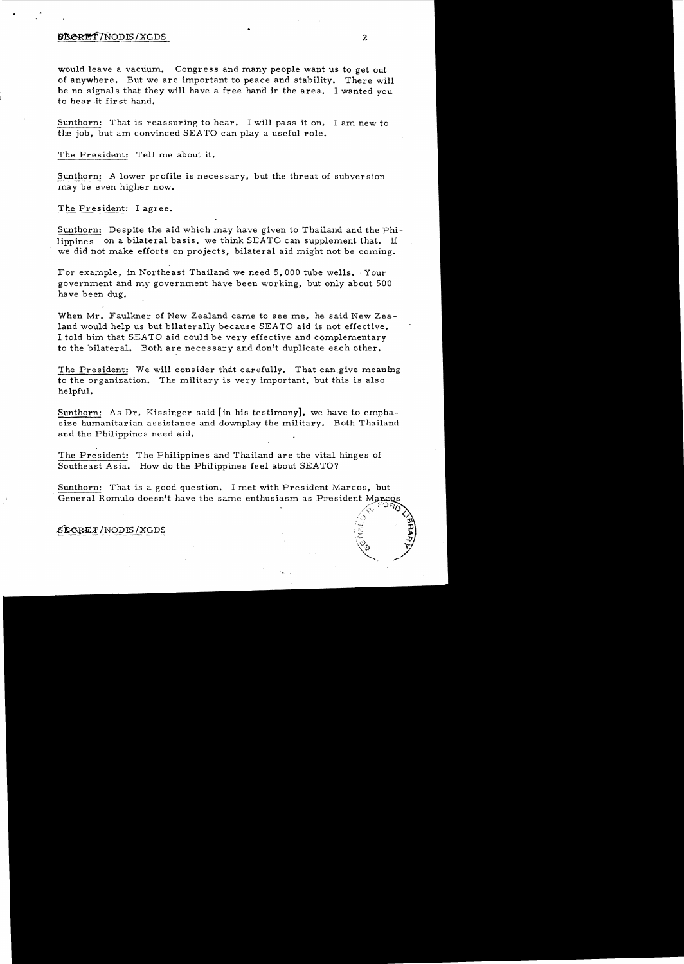### **STECKET/NODIS/XGDS** 2

would leave a vacuum. Congress and many people want us to get out of anywhere. But we are important to peace and stability. There will be no signals that they will have a free hand in the area. I wanted you to hear it first hand.

Sunthorn: That is reassuring to hear. I will pass it on. I am new to the job, but am convinced SEATO can playa useful role.

The President: Tell me about it.

Sunthorn: A lower profile is necessary, but the threat of subversion may be even higher now.

The President: I agree.

Sunthorn: Despite the aid which may have given to Thailand and the Philippines on a bilateral basis, we think SEATO can supplement that. If we did not make efforts on projects, bilateral aid might not be coming.

For example, in Northeast Thailand we need 5,000 tube wells. Your government and *my* government have been working, but only about 500 have been dug.

When Mr. Faulkner of New Zealand came to see me, he said New Zealand would help us but bilaterally because SEATO aid is not effective. I told him that SEATO aid could be very effective and complementary to the bilateral. Both are necessary and don't duplicate each other.

The President: We will consider that carefully. That can give meaning to the organization. The military is very important, but this is also helpful.

Sunthorn: As Dr. Kissinger said [in his testimony], we have to emphasize humanitarian assistance and downplay the military. Both Thailand and the Philippines need aid.

The President: The Philippines and Thailand are the vital hinges of Southeast Asia. How do the Philippines feel about SEATO?

Sunthorn: That is a good question. I met with President Marcos, but General Romulo doesn't have the same enthusiasm as President Marcos

### ~/NODIS/XGDS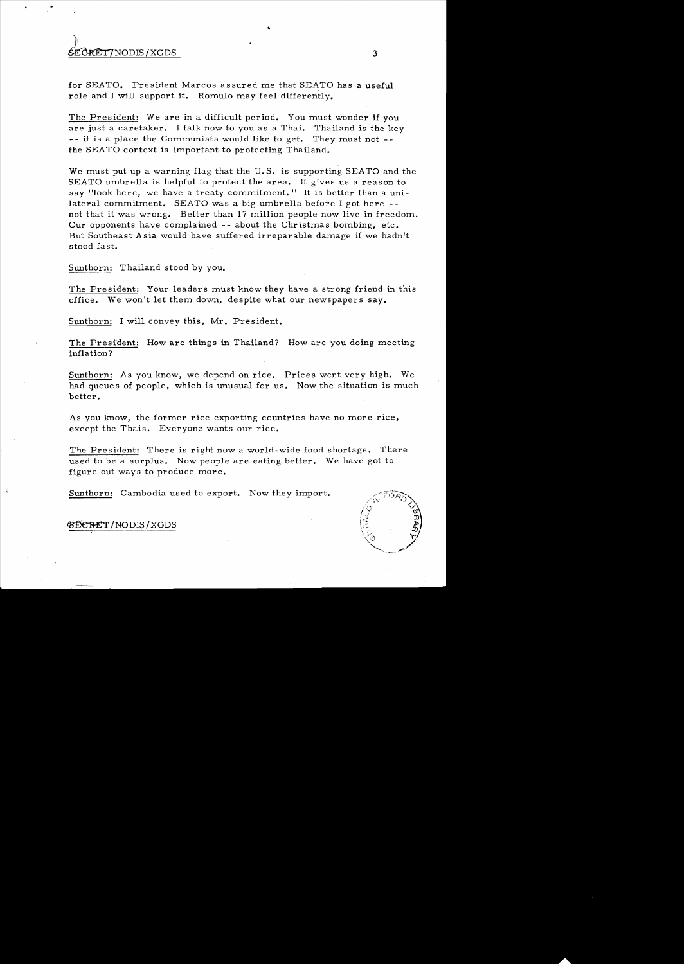# $\frac{1}{3}$

for SEATO. President Marcos assured me that SEATO has a useful role and I will support it. Romulo may feel differently.

The President: We are in a difficult period. You must wonder if you are just a caretaker. I talk now to you as a Thai. Thailand is the key -- it is a place the Communists would like to get. They must not the SEATO context is important to protecting Thailand.

We must put up a warning flag that the U.S. is supporting SEATO and the *SEATO* umbrella is helpful to protect the area. It gives us a reason to say "look here, we have a treaty commitment." It is better than a unilateral commitment. SEATO was a big umbrella before I got here  $-$ not that it was wrong. Better than 17 million people now live in freedom. Our opponents have complained -- about the Christmas bombing, etc. But Southeast A sia would have suffered irreparable damage if we hadn't stood fast.

Sunthorn: Thailand stood by you.

The President: Your leaders must know they have a strong friend in this office. We won't let them down, despite what our newspapers say.

Sunthorn: I will convey this, Mr. President.

The President: How are things in Thailand? How are you doing meeting inflation?

Sunthorn: *As* you know, we depend on rice. Prices went very high. We had queues of people, which is unusual for us. Now the situation is much better.

As you know, the former rice exporting countries have no more rice, except the Thais. Everyone wants our rice.

The President: There is right now a world-wide food shortage. There used to be a surplus. Now people are eating better. We have got to figure out ways to produce more.

Sunthorn: Cambodia used to export. Now they import.



#### 43 BE ERET / NODIS / XGDS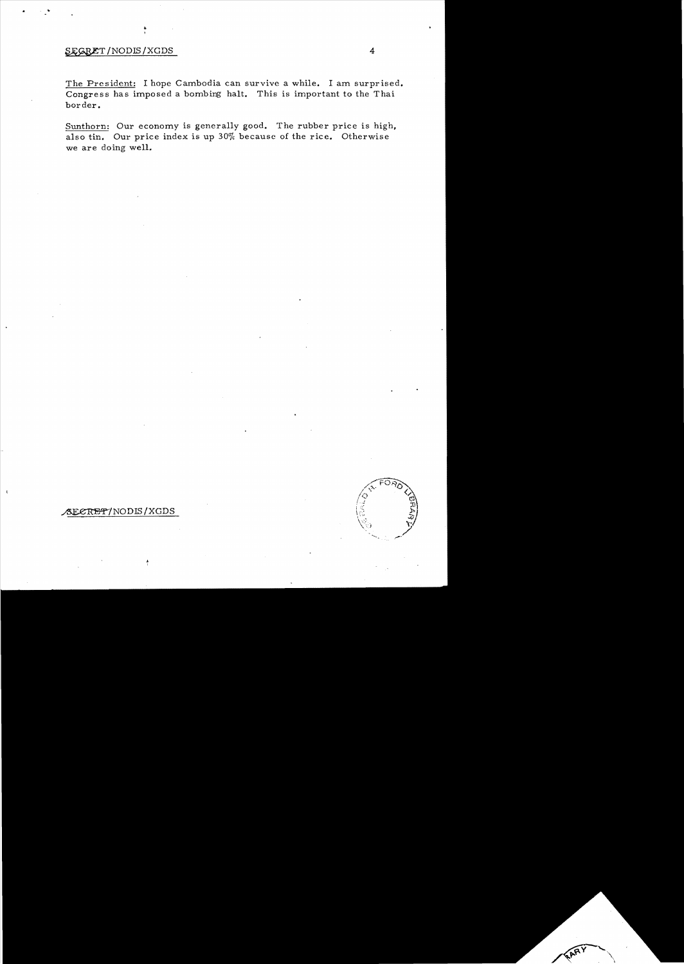## SEGRET/NODIS/XGDS 4

The President: I hope Cambodia can survive a while. I am surprised. Congress has imposed a bombing halt. This is important to the Thai border.

Sunthorn: Our economy is generally good. The rubber price is high, also tin. Our price index is up 30% because of the rice. Otherwise we are doing well.



### ~/NOD~/XGDS

ķ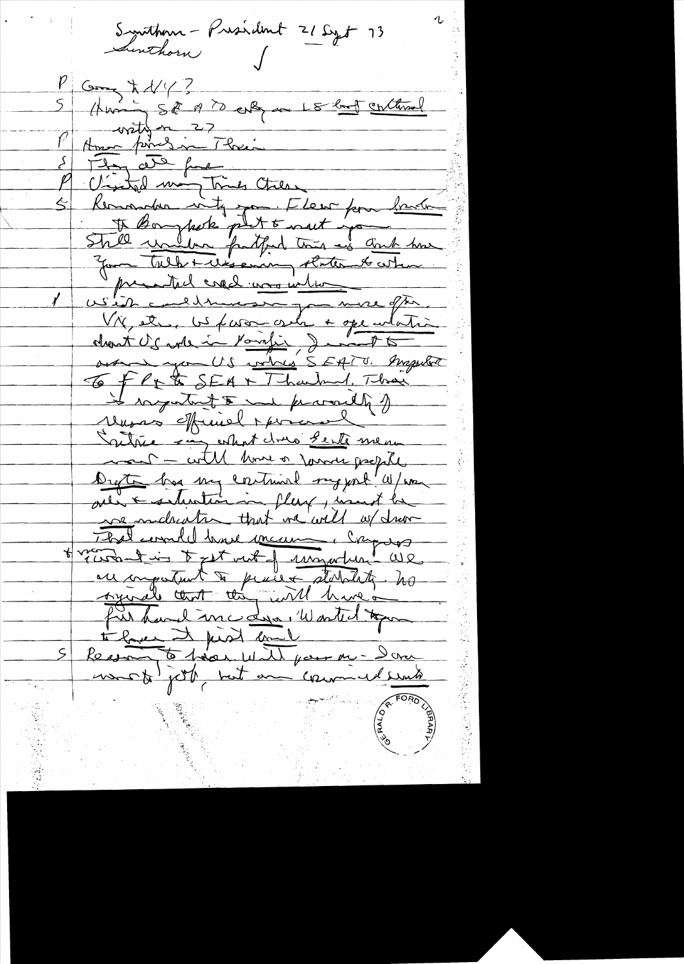Synthem - President 21 Sept 13 Sinthorn Gong to 1/4 ?<br>(Humin 5 d<sup>e</sup> 19 ?) enleg av 15 brot continual<br>Amer formes in Their They are for M Cristol many times Cheese Kemander vity pour Fleur for bander To Boughets plut & net jour Skill <u>vir blon fatfind that as donk</u> how mental errel une inter USID conditionnement de mere often. over you US when SEATO. Inspira 6 flet SEA + Tharland, Thai Unsas official porciol Sattie son estant dons sente men mont - with home or former people Drette has my continual raggent "W/wa we maked the that we will of drove That would have mean i cry us Hveront in text int of ungarber UR au comportant à proces statutate. no fur hand me de l'Wonted tope the face of first could Recomment pas und pour me-Donne most job not an commentaria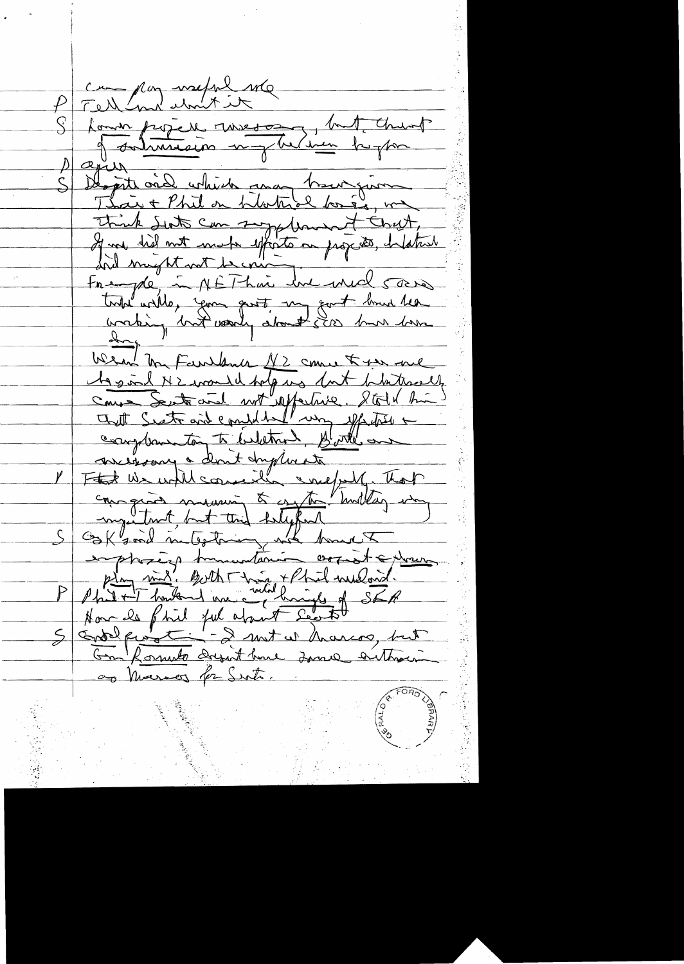P Tell and writing Louis frizie une meson lut churt Députe ond which and trouvenir Think Sut can suggedement Chat, toute with your gust my got had the Wear Mr Farlance 1/2 come to you are Mes me Senti and defenders dut distinction messonne à dont duplinate couragines moderni & anythe Turillay who emphasing humantanin orriet extreme Phil + Thought Things of SEA 5 Endre questions - 2 mit en marcos, but as Marson for Sut.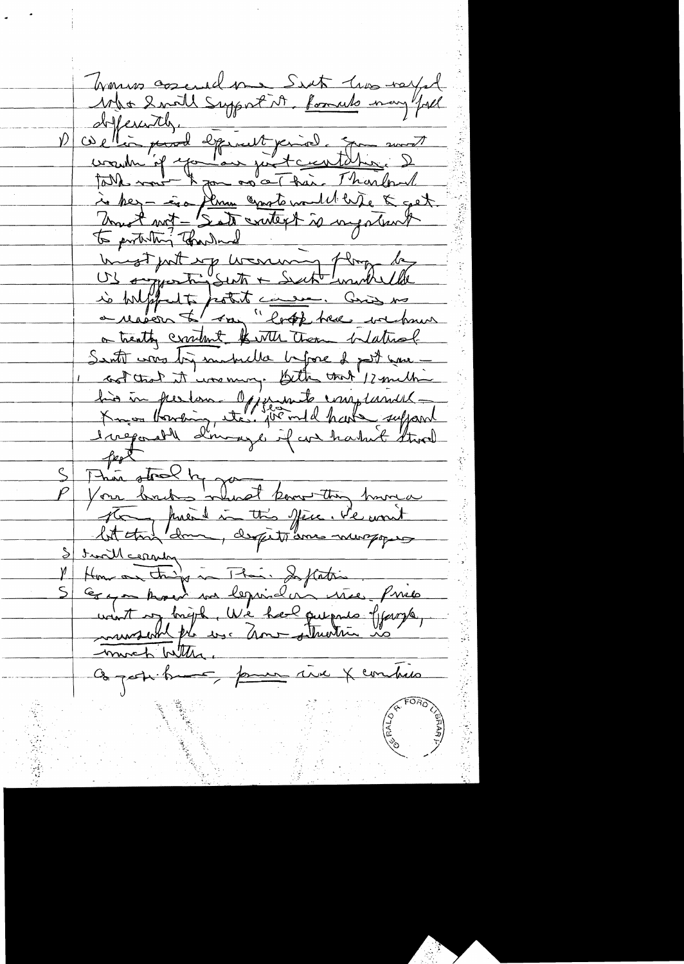Wanner corenal me Sent live rayed Who Inall Support it, formuls many "fill Who small, support the formula may your<br>objection, and equally prior to sure and<br>want if you are just contained in any<br>to her in the same exacts would be a get is biligents potent commences me or treating crownt the them bedtral Senti was by makella before I post none -1 cont that it was many. Bitter that 12 million his in person offerent unificants S This stood by you thing hunger Station priest in this year. He won't How on things in Their Inflation . Prices .<br>Gray though we leguise un use . Price .<br>want of bright . We have queents of gargle , much With Objectifient, pour une X compres